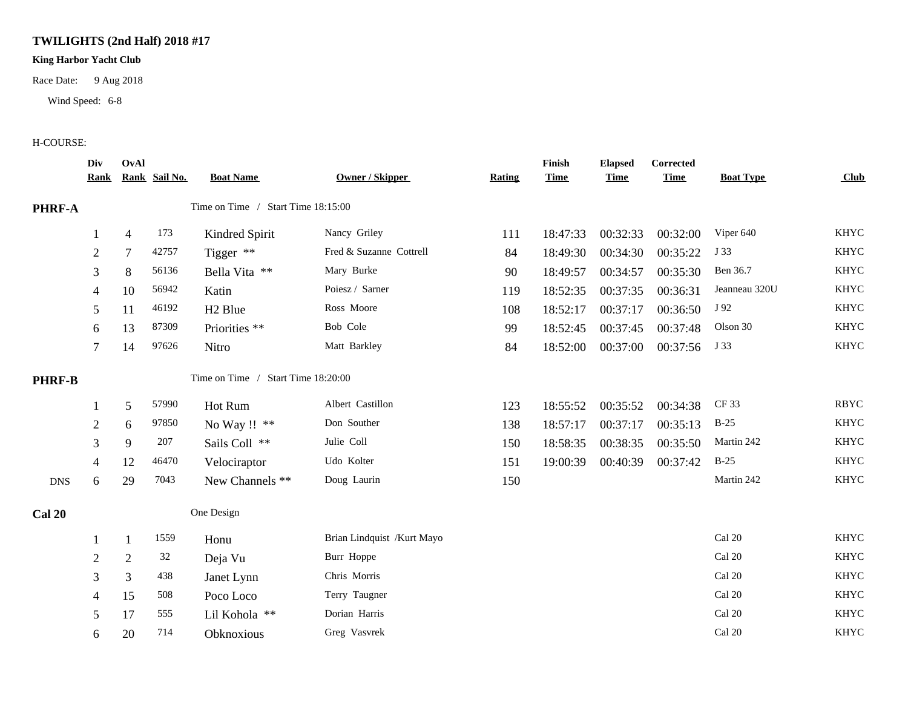## **TWILIGHTS (2nd Half) 2018 #17**

## **King Harbor Yacht Club**

Race Date: 9 Aug 2018

Wind Speed: 6-8

## H-COURSE:

|               | Div<br><u>Rank</u> | OvAl           | Rank Sail No. | <b>Boat Name</b>                   | <b>Owner / Skipper</b>     | <b>Rating</b> | Finish<br><b>Time</b> | <b>Elapsed</b><br><b>Time</b> | <b>Corrected</b><br><b>Time</b> | <b>Boat Type</b> | <b>Club</b> |
|---------------|--------------------|----------------|---------------|------------------------------------|----------------------------|---------------|-----------------------|-------------------------------|---------------------------------|------------------|-------------|
| PHRF-A        |                    |                |               | Time on Time / Start Time 18:15:00 |                            |               |                       |                               |                                 |                  |             |
|               |                    | $\overline{4}$ | 173           | Kindred Spirit                     | Nancy Griley               | 111           | 18:47:33              | 00:32:33                      | 00:32:00                        | Viper 640        | <b>KHYC</b> |
|               | $\overline{2}$     | $\tau$         | 42757         | Tigger **                          | Fred & Suzanne Cottrell    | 84            | 18:49:30              | 00:34:30                      | 00:35:22                        | J 33             | <b>KHYC</b> |
|               | 3                  | $\,8\,$        | 56136         | Bella Vita **                      | Mary Burke                 | 90            | 18:49:57              | 00:34:57                      | 00:35:30                        | Ben 36.7         | <b>KHYC</b> |
|               | 4                  | 10             | 56942         | Katin                              | Poiesz / Sarner            | 119           | 18:52:35              | 00:37:35                      | 00:36:31                        | Jeanneau 320U    | <b>KHYC</b> |
|               | 5                  | 11             | 46192         | H <sub>2</sub> Blue                | Ross Moore                 | 108           | 18:52:17              | 00:37:17                      | 00:36:50                        | J 92             | <b>KHYC</b> |
|               | 6                  | 13             | 87309         | Priorities **                      | Bob Cole                   | 99            | 18:52:45              | 00:37:45                      | 00:37:48                        | Olson 30         | <b>KHYC</b> |
|               | 7                  | 14             | 97626         | Nitro                              | Matt Barkley               | 84            | 18:52:00              | 00:37:00                      | 00:37:56                        | J 33             | <b>KHYC</b> |
| <b>PHRF-B</b> |                    |                |               | Time on Time / Start Time 18:20:00 |                            |               |                       |                               |                                 |                  |             |
|               |                    | 5              | 57990         | Hot Rum                            | Albert Castillon           | 123           | 18:55:52              | 00:35:52                      | 00:34:38                        | CF 33            | <b>RBYC</b> |
|               | $\overline{2}$     | 6              | 97850         | No Way !! **                       | Don Souther                | 138           | 18:57:17              | 00:37:17                      | 00:35:13                        | $B-25$           | <b>KHYC</b> |
|               | 3                  | 9              | 207           | Sails Coll **                      | Julie Coll                 | 150           | 18:58:35              | 00:38:35                      | 00:35:50                        | Martin 242       | <b>KHYC</b> |
|               | 4                  | 12             | 46470         | Velociraptor                       | Udo Kolter                 | 151           | 19:00:39              | 00:40:39                      | 00:37:42                        | $B-25$           | <b>KHYC</b> |
| <b>DNS</b>    | 6                  | 29             | 7043          | New Channels **                    | Doug Laurin                | 150           |                       |                               |                                 | Martin 242       | <b>KHYC</b> |
| <b>Cal 20</b> |                    |                |               | One Design                         |                            |               |                       |                               |                                 |                  |             |
|               |                    | 1              | 1559          | Honu                               | Brian Lindquist /Kurt Mayo |               |                       |                               |                                 | Cal 20           | <b>KHYC</b> |
|               | $\overline{2}$     | $\overline{2}$ | 32            | Deja Vu                            | Burr Hoppe                 |               |                       |                               |                                 | Cal 20           | <b>KHYC</b> |
|               | 3                  | $\overline{3}$ | 438           | Janet Lynn                         | Chris Morris               |               |                       |                               |                                 | Cal 20           | <b>KHYC</b> |
|               | 4                  | 15             | 508           | Poco Loco                          | Terry Taugner              |               |                       |                               |                                 | Cal 20           | <b>KHYC</b> |
|               | 5                  | 17             | 555           | Lil Kohola **                      | Dorian Harris              |               |                       |                               |                                 | Cal 20           | <b>KHYC</b> |
|               | 6                  | 20             | 714           | Obknoxious                         | Greg Vasvrek               |               |                       |                               |                                 | Cal 20           | <b>KHYC</b> |